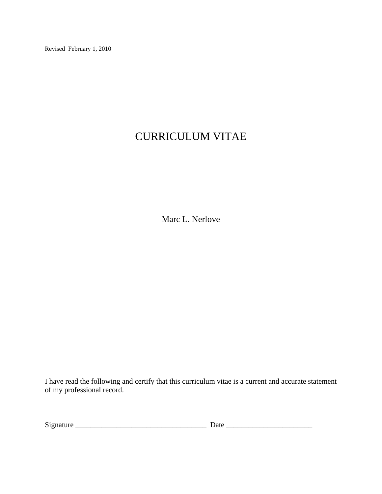Revised February 1, 2010

# CURRICULUM VITAE

Marc L. Nerlove

I have read the following and certify that this curriculum vitae is a current and accurate statement of my professional record.

| $\sim$<br>aature<br>519<br>71 I<br>---<br>- |  |
|---------------------------------------------|--|
|---------------------------------------------|--|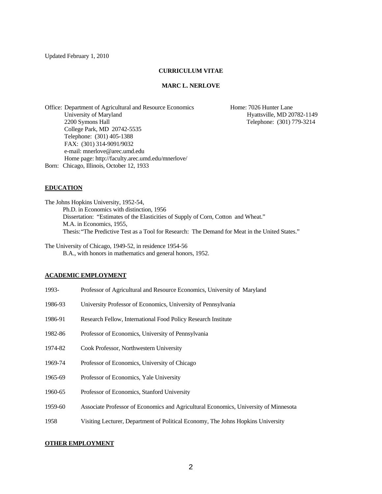Updated February 1, 2010

#### **CURRICULUM VITAE**

#### **MARC L. NERLOVE**

Office: Department of Agricultural and Resource Economics Home: 7026 Hunter Lane University of Maryland Hyattsville, MD 20782-1149 2200 Symons Hall Telephone: (301) 779-3214 College Park, MD 20742-5535 Telephone: (301) 405-1388 FAX: (301) 314-9091/9032 e-mail: mnerlove@arec.umd.edu Home page: http://faculty.arec.umd.edu/mnerlove/ Born: Chicago, Illinois, October 12, 1933

#### **EDUCATION**

The Johns Hopkins University, 1952-54, Ph.D. in Economics with distinction, 1956 Dissertation: "Estimates of the Elasticities of Supply of Corn, Cotton and Wheat." M.A. in Economics, 1955, Thesis: "The Predictive Test as a Tool for Research: The Demand for Meat in the United States."

The University of Chicago, 1949-52, in residence 1954-56 B.A., with honors in mathematics and general honors, 1952.

#### **ACADEMIC EMPLOYMENT**

| 1993-   | Professor of Agricultural and Resource Economics, University of Maryland             |
|---------|--------------------------------------------------------------------------------------|
| 1986-93 | University Professor of Economics, University of Pennsylvania                        |
| 1986-91 | Research Fellow, International Food Policy Research Institute                        |
| 1982-86 | Professor of Economics, University of Pennsylvania                                   |
| 1974-82 | Cook Professor, Northwestern University                                              |
| 1969-74 | Professor of Economics, University of Chicago                                        |
| 1965-69 | Professor of Economics, Yale University                                              |
| 1960-65 | Professor of Economics, Stanford University                                          |
| 1959-60 | Associate Professor of Economics and Agricultural Economics, University of Minnesota |
| 1958    | Visiting Lecturer, Department of Political Economy, The Johns Hopkins University     |

#### **OTHER EMPLOYMENT**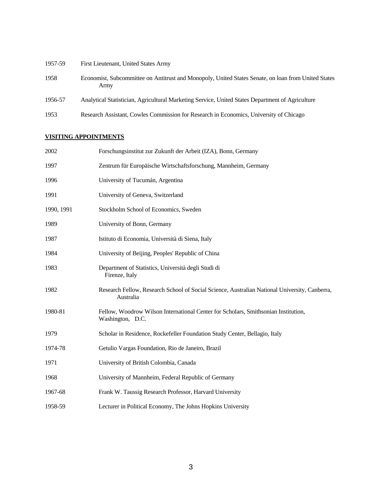| 1957-59 | First Lieutenant, United States Army                                                                        |
|---------|-------------------------------------------------------------------------------------------------------------|
| 1958    | Economist, Subcommittee on Antitrust and Monopoly, United States Senate, on loan from United States<br>Army |
| 1956-57 | Analytical Statistician, Agricultural Marketing Service, United States Department of Agriculture            |
| 1953    | Research Assistant, Cowles Commission for Research in Economics, University of Chicago                      |

# **VISITING APPOINTMENTS**

| 2002       | Forschungsinstitut zur Zukunft der Arbeit (IZA), Bonn, Germany                                             |
|------------|------------------------------------------------------------------------------------------------------------|
| 1997       | Zentrum für Europäische Wirtschaftsforschung, Mannheim, Germany                                            |
| 1996       | University of Tucumán, Argentina                                                                           |
| 1991       | University of Geneva, Switzerland                                                                          |
| 1990, 1991 | Stockholm School of Economics, Sweden                                                                      |
| 1989       | University of Bonn, Germany                                                                                |
| 1987       | Istituto di Economia, Università di Siena, Italy                                                           |
| 1984       | University of Beijing, Peoples' Republic of China                                                          |
| 1983       | Department of Statistics, Università degli Studi di<br>Firenze, Italy                                      |
| 1982       | Research Fellow, Research School of Social Science, Australian National University, Canberra,<br>Australia |
| 1980-81    | Fellow, Woodrow Wilson International Center for Scholars, Smithsonian Institution,<br>Washington, D.C.     |
| 1979       | Scholar in Residence, Rockefeller Foundation Study Center, Bellagio, Italy                                 |
| 1974-78    | Getulio Vargas Foundation, Rio de Janeiro, Brazil                                                          |
| 1971       | University of British Colombia, Canada                                                                     |
| 1968       | University of Mannheim, Federal Republic of Germany                                                        |
| 1967-68    | Frank W. Taussig Research Professor, Harvard University                                                    |
| 1958-59    | Lecturer in Political Economy, The Johns Hopkins University                                                |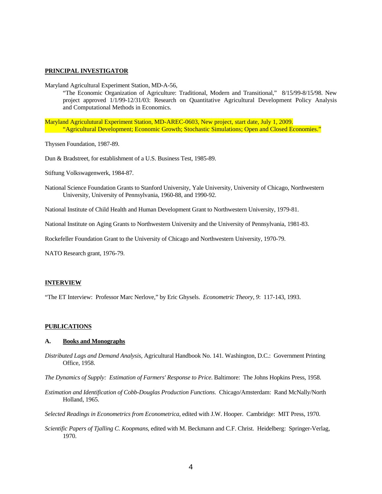#### **PRINCIPAL INVESTIGATOR**

Maryland Agricultural Experiment Station, MD-A-56,

 "The Economic Organization of Agriculture: Traditional, Modern and Transitional," 8/15/99-8/15/98. New project approved 1/1/99-12/31/03: Research on Quantitative Agricultural Development Policy Analysis and Computational Methods in Economics.

Maryland Agriculutural Experiment Station, MD-AREC-0603, New project, start date, July 1, 2009. "Agricultural Development; Economic Growth; Stochastic Simulations; Open and Closed Economies."

Thyssen Foundation, 1987-89.

Dun & Bradstreet, for establishment of a U.S. Business Test, 1985-89.

Stiftung Volkswagenwerk, 1984-87.

National Science Foundation Grants to Stanford University, Yale University, University of Chicago, Northwestern University, University of Pennsylvania, 1960-88, and 1990-92.

National Institute of Child Health and Human Development Grant to Northwestern University, 1979-81.

National Institute on Aging Grants to Northwestern University and the University of Pennsylvania, 1981-83.

Rockefeller Foundation Grant to the University of Chicago and Northwestern University, 1970-79.

NATO Research grant, 1976-79.

#### **INTERVIEW**

"The ET Interview: Professor Marc Nerlove," by Eric Ghysels. *Econometric Theory, 9*: 117-143, 1993.

#### **PUBLICATIONS**

#### **A. Books and Monographs**

*Distributed Lags and Demand Analysis*, Agricultural Handbook No. 141. Washington, D.C.: Government Printing Office, 1958.

*The Dynamics of Supply: Estimation of Farmers' Response to Price*. Baltimore: The Johns Hopkins Press, 1958.

*Estimation and Identification of Cobb-Douglas Production Functions*. Chicago/Amsterdam: Rand McNally/North Holland, 1965.

*Selected Readings in Econometrics from Econometrica*, edited with J.W. Hooper. Cambridge: MIT Press, 1970.

*Scientific Papers of Tjalling C. Koopmans*, edited with M. Beckmann and C.F. Christ. Heidelberg: Springer-Verlag, 1970.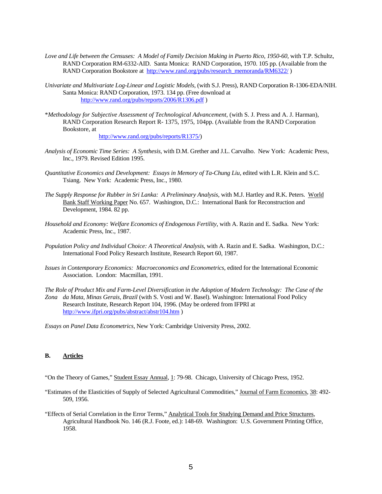- *Love and Life between the Censuses: A Model of Family Decision Making in Puerto Rico, 1950-60,* with T.P. Schultz, RAND Corporation RM-6332-AID. Santa Monica: RAND Corporation, 1970. 105 pp. (Available from the RAND Corporation Bookstore at [http://www.rand.org/pubs/research\\_memoranda/RM6322/](http://www.rand.org/pubs/research_memoranda/RM6322/) )
- *Univariate and Multivariate Log-Linear and Logistic Models,* (with S.J. Press), RAND Corporation R-1306-EDA/NIH. Santa Monica: RAND Corporation, 1973. 134 pp. (Free download at <http://www.rand.org/pubs/reports/2006/R1306.pdf>)
- \**Methodology for Subjective Assessment of Technological Advancement,* (with S. J. Press and A. J. Harman), RAND Corporation Research Report R- 1375, 1975, 104pp. (Available from the RAND Corporation Bookstore, at [http://www.rand.org/pubs/reports/R1375/\)](http://www.rand.org/pubs/reports/R1375/)
- *Analysis of Economic Time Series: A Synthesis*, with D.M. Grether and J.L. Carvalho. New York: Academic Press, Inc., 1979. Revised Edition 1995.
- *Quantitative Economics and Development: Essays in Memory of Ta-Chung Liu,* edited with L.R. Klein and S.C. Tsiang. New York: Academic Press, Inc., 1980.
- *The Supply Response for Rubber in Sri Lanka: A Preliminary Analysis,* with M.J. Hartley and R.K. Peters. World Bank Staff Working Paper No. 657. Washington, D.C.: International Bank for Reconstruction and Development, 1984. 82 pp.
- *Household and Economy: Welfare Economics of Endogenous Fertility*, with A. Razin and E. Sadka. New York: Academic Press, Inc., 1987.
- *Population Policy and Individual Choice: A Theoretical Analysis*, with A. Razin and E. Sadka. Washington, D.C.: International Food Policy Research Institute, Research Report 60, 1987.
- *Issues in Contemporary Economics: Macroeconomics and Econometrics*, edited for the International Economic Association. London: Macmillan, 1991.
- *The Role of Product Mix and Farm-Level Diversification in the Adoption of Modern Technology: The Case of the Zona da Mata, Minas Gerais, Brazil* (with S. Vosti and W. Basel). Washington: International Food Policy Research Institute, Research Report 104, 1996. (May be ordered from IFPRI at <http://www.ifpri.org/pubs/abstract/abstr104.htm>)

*Essays on Panel Data Econometrics,* New York: Cambridge University Press, 2002.

#### **B. Articles**

"On the Theory of Games," Student Essay Annual, 1: 79-98. Chicago, University of Chicago Press, 1952.

- "Estimates of the Elasticities of Supply of Selected Agricultural Commodities," Journal of Farm Economics, 38: 492- 509, 1956.
- "Effects of Serial Correlation in the Error Terms," Analytical Tools for Studying Demand and Price Structures, Agricultural Handbook No. 146 (R.J. Foote, ed.): 148-69. Washington: U.S. Government Printing Office, 1958.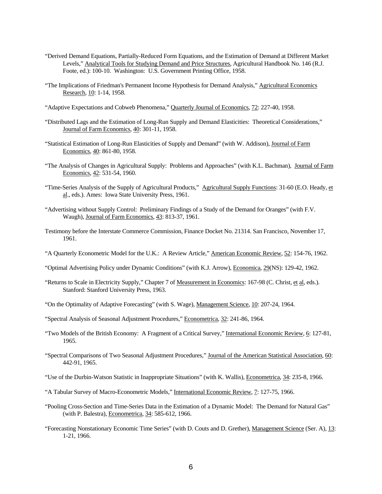- "Derived Demand Equations, Partially-Reduced Form Equations, and the Estimation of Demand at Different Market Levels," Analytical Tools for Studying Demand and Price Structures, Agricultural Handbook No. 146 (R.J. Foote, ed.): 100-10. Washington: U.S. Government Printing Office, 1958.
- "The Implications of Friedman's Permanent Income Hypothesis for Demand Analysis," Agricultural Economics Research, 10: 1-14, 1958.
- "Adaptive Expectations and Cobweb Phenomena," Quarterly Journal of Economics, 72: 227-40, 1958.
- "Distributed Lags and the Estimation of Long-Run Supply and Demand Elasticities: Theoretical Considerations," Journal of Farm Economics, 40: 301-11, 1958.
- "Statistical Estimation of Long-Run Elasticities of Supply and Demand" (with W. Addison), Journal of Farm Economics, 40: 861-80, 1958.
- "The Analysis of Changes in Agricultural Supply: Problems and Approaches" (with K.L. Bachman), Journal of Farm Economics, 42: 531-54, 1960.
- "Time-Series Analysis of the Supply of Agricultural Products," Agricultural Supply Functions: 31-60 (E.O. Heady, et al., eds.). Ames: Iowa State University Press, 1961.
- "Advertising without Supply Control: Preliminary Findings of a Study of the Demand for Oranges" (with F.V. Waugh), Journal of Farm Economics, 43: 813-37, 1961.
- Testimony before the Interstate Commerce Commission, Finance Docket No. 21314. San Francisco, November 17, 1961.
- "A Quarterly Econometric Model for the U.K.: A Review Article," American Economic Review, 52: 154-76, 1962.
- "Optimal Advertising Policy under Dynamic Conditions" (with K.J. Arrow), Economica, 29(NS): 129-42, 1962.
- "Returns to Scale in Electricity Supply," Chapter 7 of Measurement in Economics: 167-98 (C. Christ, et al, eds.). Stanford: Stanford University Press, 1963.
- "On the Optimality of Adaptive Forecasting" (with S. Wage), Management Science, 10: 207-24, 1964.
- "Spectral Analysis of Seasonal Adjustment Procedures," Econometrica, 32: 241-86, 1964.
- "Two Models of the British Economy: A Fragment of a Critical Survey," International Economic Review, 6: 127-81, 1965.
- "Spectral Comparisons of Two Seasonal Adjustment Procedures," Journal of the American Statistical Association, 60: 442-91, 1965.
- "Use of the Durbin-Watson Statistic in Inappropriate Situations" (with K. Wallis), Econometrica, 34: 235-8, 1966.
- "A Tabular Survey of Macro-Econometric Models," International Economic Review, 7: 127-75, 1966.
- "Pooling Cross-Section and Time-Series Data in the Estimation of a Dynamic Model: The Demand for Natural Gas" (with P. Balestra), Econometrica, 34: 585-612, 1966.
- "Forecasting Nonstationary Economic Time Series" (with D. Couts and D. Grether), Management Science (Ser. A), 13: 1-21, 1966.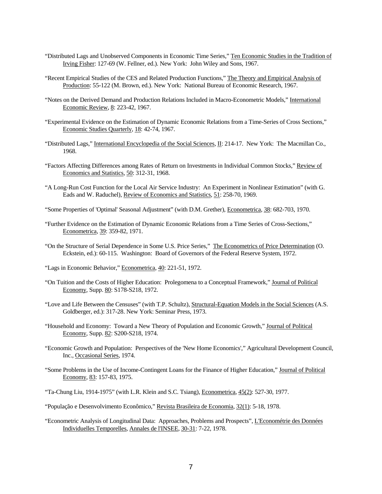- "Distributed Lags and Unobserved Components in Economic Time Series," Ten Economic Studies in the Tradition of Irving Fisher: 127-69 (W. Fellner, ed.). New York: John Wiley and Sons, 1967.
- "Recent Empirical Studies of the CES and Related Production Functions," The Theory and Empirical Analysis of Production: 55-122 (M. Brown, ed.). New York: National Bureau of Economic Research, 1967.
- "Notes on the Derived Demand and Production Relations Included in Macro-Econometric Models," International Economic Review, 8: 223-42, 1967.
- "Experimental Evidence on the Estimation of Dynamic Economic Relations from a Time-Series of Cross Sections," Economic Studies Quarterly, 18: 42-74, 1967.
- "Distributed Lags," International Encyclopedia of the Social Sciences, II: 214-17. New York: The Macmillan Co., 1968.
- "Factors Affecting Differences among Rates of Return on Investments in Individual Common Stocks," Review of Economics and Statistics, 50: 312-31, 1968.
- "A Long-Run Cost Function for the Local Air Service Industry: An Experiment in Nonlinear Estimation" (with G. Eads and W. Raduchel), Review of Economics and Statistics, 51: 258-70, 1969.
- "Some Properties of 'Optimal' Seasonal Adjustment" (with D.M. Grether), Econometrica, 38: 682-703, 1970.
- "Further Evidence on the Estimation of Dynamic Economic Relations from a Time Series of Cross-Sections," Econometrica, 39: 359-82, 1971.
- "On the Structure of Serial Dependence in Some U.S. Price Series," The Econometrics of Price Determination (O. Eckstein, ed.): 60-115. Washington: Board of Governors of the Federal Reserve System, 1972.
- "Lags in Economic Behavior," Econometrica, 40: 221-51, 1972.
- "On Tuition and the Costs of Higher Education: Prolegomena to a Conceptual Framework," Journal of Political Economy, Supp. 80: S178-S218, 1972.
- "Love and Life Between the Censuses" (with T.P. Schultz), Structural-Equation Models in the Social Sciences (A.S. Goldberger, ed.): 317-28. New York: Seminar Press, 1973.
- "Household and Economy: Toward a New Theory of Population and Economic Growth," Journal of Political Economy, Supp. 82: S200-S218, 1974.
- "Economic Growth and Population: Perspectives of the 'New Home Economics'," Agricultural Development Council, Inc., Occasional Series, 1974.
- "Some Problems in the Use of Income-Contingent Loans for the Finance of Higher Education," Journal of Political Economy, 83: 157-83, 1975.
- "Ta-Chung Liu, 1914-1975" (with L.R. Klein and S.C. Tsiang), Econometrica, 45(2): 527-30, 1977.
- "População e Desenvolvimento Econômico," Revista Brasileira de Economia, 32(1): 5-18, 1978.
- "Econometric Analysis of Longitudinal Data: Approaches, Problems and Prospects", L'Econométrie des Données Individuelles Temporelles, Annales de l'INSEE, 30-31: 7-22, 1978.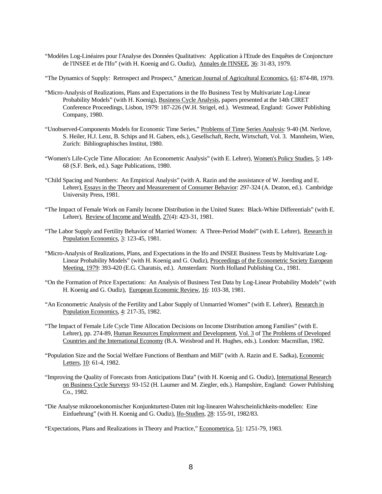- "Modèles Log-Linéaires pour l'Analyse des Données Qualitatives: Application à l'Etude des Enquêtes de Conjoncture de l'INSEE et de l'Ifo" (with H. Koenig and G. Oudiz), Annales de l'INSEE, 36: 31-83, 1979.
- "The Dynamics of Supply: Retrospect and Prospect," American Journal of Agricultural Economics, 61: 874-88, 1979.
- "Micro-Analysis of Realizations, Plans and Expectations in the Ifo Business Test by Multivariate Log-Linear Probability Models" (with H. Koenig), Business Cycle Analysis, papers presented at the 14th CIRET Conference Proceedings, Lisbon, 1979: 187-226 (W.H. Strigel, ed.). Westmead, England: Gower Publishing Company, 1980.
- "Unobserved-Components Models for Economic Time Series," Problems of Time Series Analysis: 9-40 (M. Nerlove, S. Heiler, H.J. Lenz, B. Schips and H. Gabers, eds.), Gesellschaft, Recht, Wirtschaft, Vol. 3. Mannheim, Wien, Zurich: Bibliographisches Institut, 1980.
- "Women's Life-Cycle Time Allocation: An Econometric Analysis" (with E. Lehrer), Women's Policy Studies, 5: 149- 68 (S.F. Berk, ed.). Sage Publications, 1980.
- "Child Spacing and Numbers: An Empirical Analysis" (with A. Razin and the asssistance of W. Joerding and E. Lehrer), Essays in the Theory and Measurement of Consumer Behavior: 297-324 (A. Deaton, ed.). Cambridge University Press, 1981.
- "The Impact of Female Work on Family Income Distribution in the United States: Black-White Differentials" (with E. Lehrer), Review of Income and Wealth, 27(4): 423-31, 1981.
- "The Labor Supply and Fertility Behavior of Married Women: A Three-Period Model" (with E. Lehrer), Research in Population Economics, 3: 123-45, 1981.
- "Micro-Analysis of Realizations, Plans, and Expectations in the Ifo and INSEE Business Tests by Multivariate Log-Linear Probability Models" (with H. Koenig and G. Oudiz), Proceedings of the Econometric Society European Meeting, 1979: 393-420 (E.G. Charatsis, ed.). Amsterdam: North Holland Publishing Co., 1981.
- "On the Formation of Price Expectations: An Analysis of Business Test Data by Log-Linear Probability Models" (with H. Koenig and G. Oudiz), European Economic Review, 16: 103-38, 1981.
- "An Econometric Analysis of the Fertility and Labor Supply of Unmarried Women" (with E. Lehrer), Research in Population Economics, 4: 217-35, 1982.
- "The Impact of Female Life Cycle Time Allocation Decisions on Income Distribution among Families" (with E. Lehrer), pp. 274-89, Human Resources Employment and Development, Vol. 3 of The Problems of Developed Countries and the International Economy (B.A. Weisbrod and H. Hughes, eds.). London: Macmillan, 1982.
- "Population Size and the Social Welfare Functions of Bentham and Mill" (with A. Razin and E. Sadka), Economic Letters, 10: 61-4, 1982.
- "Improving the Quality of Forecasts from Anticipations Data" (with H. Koenig and G. Oudiz), International Research on Business Cycle Surveys: 93-152 (H. Laumer and M. Ziegler, eds.). Hampshire, England: Gower Publishing Co., 1982.
- "Die Analyse mikrooekonomischer Konjunkturtest-Daten mit log-linearen Wahrscheinlichkeits-modellen: Eine Einfuehrung" (with H. Koenig and G. Oudiz), Ifo-Studien, 28: 155-91, 1982/83.

"Expectations, Plans and Realizations in Theory and Practice," Econometrica, 51: 1251-79, 1983.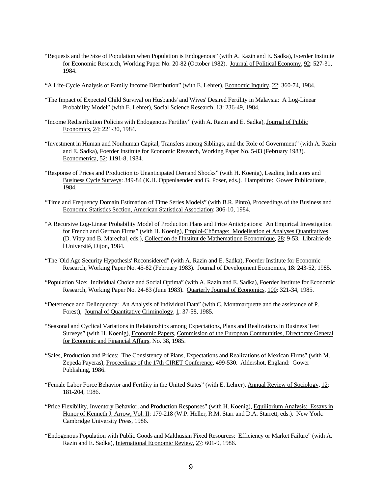- "Bequests and the Size of Population when Population is Endogenous" (with A. Razin and E. Sadka), Foerder Institute for Economic Research, Working Paper No. 20-82 (October 1982). Journal of Political Economy, 92: 527-31, 1984.
- "A Life-Cycle Analysis of Family Income Distribution" (with E. Lehrer), Economic Inquiry, 22: 360-74, 1984.
- "The Impact of Expected Child Survival on Husbands' and Wives' Desired Fertility in Malaysia: A Log-Linear Probability Model" (with E. Lehrer), Social Science Research, 13: 236-49, 1984.
- "Income Redistribution Policies with Endogenous Fertility" (with A. Razin and E. Sadka), Journal of Public Economics, 24: 221-30, 1984.
- "Investment in Human and Nonhuman Capital, Transfers among Siblings, and the Role of Government" (with A. Razin and E. Sadka), Foerder Institute for Economic Research, Working Paper No. 5-83 (February 1983). Econometrica, 52: 1191-8, 1984.
- "Response of Prices and Production to Unanticipated Demand Shocks" (with H. Koenig), Leading Indicators and Business Cycle Surveys: 349-84 (K.H. Oppenlaender and G. Poser, eds.). Hampshire: Gower Publications, 1984.
- "Time and Frequency Domain Estimation of Time Series Models" (with B.R. Pinto), Proceedings of the Business and Economic Statistics Section, American Statistical Association: 306-10, 1984.
- "A Recursive Log-Linear Probability Model of Production Plans and Price Anticipations: An Empirical Investigation for French and German Firms" (with H. Koenig), *Emploi-Chômage: Modelisation et Analyses Quantitatives* (D. Vitry and B. Marechal, eds.), Collection de l'Institut de Mathematique Economique, 28: 9-53. Librairie de l'Université, Dijon, 1984.
- "The 'Old Age Security Hypothesis' Reconsidered" (with A. Razin and E. Sadka), Foerder Institute for Economic Research, Working Paper No. 45-82 (February 1983). Journal of Development Economics, 18: 243-52, 1985.
- "Population Size: Individual Choice and Social Optima" (with A. Razin and E. Sadka), Foerder Institute for Economic Research, Working Paper No. 24-83 (June 1983). Quarterly Journal of Economics, 100: 321-34, 1985.
- "Deterrence and Delinquency: An Analysis of Individual Data" (with C. Montmarquette and the assistance of P. Forest), Journal of Quantitative Criminology, 1: 37-58, 1985.
- "Seasonal and Cyclical Variations in Relationships among Expectations, Plans and Realizations in Business Test Surveys" (with H. Koenig), Economic Papers, Commission of the European Communities, Directorate General for Economic and Financial Affairs, No. 38, 1985.
- "Sales, Production and Prices: The Consistency of Plans, Expectations and Realizations of Mexican Firms" (with M. Zepeda Payeras), Proceedings of the 17th CIRET Conference, 499-530. Aldershot, England: Gower Publishing, 1986.
- "Female Labor Force Behavior and Fertility in the United States" (with E. Lehrer), Annual Review of Sociology, 12: 181-204, 1986.
- "Price Flexibility, Inventory Behavior, and Production Responses" (with H. Koenig), Equilibrium Analysis: Essays in Honor of Kenneth J. Arrow, Vol. II: 179-218 (W.P. Heller, R.M. Starr and D.A. Starrett, eds.). New York: Cambridge University Press, 1986.
- "Endogenous Population with Public Goods and Malthusian Fixed Resources: Efficiency or Market Failure" (with A. Razin and E. Sadka), International Economic Review, 27: 601-9, 1986.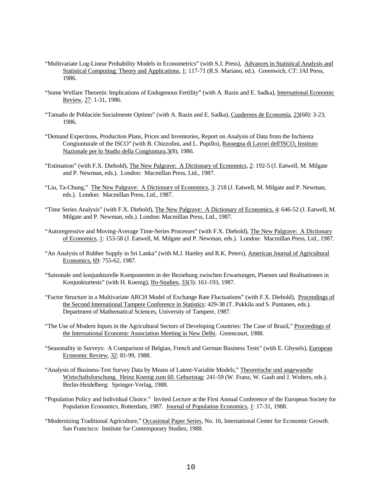- "Multivariate Log-Linear Probability Models in Econometrics" (with S.J. Press), Advances in Statistical Analysis and Statistical Computing: Theory and Applications, 1: 117-71 (R.S. Mariano, ed.). Greenwich, CT: JAI Press, 1986.
- "Some Welfare Theoretic Implications of Endogenous Fertility" (with A. Razin and E. Sadka), International Economic Review, 27: 1-31, 1986.
- "Tamaño de Población Socialmente Optimo" (with A. Razin and E. Sadka), Cuadernos de Economía, 23(68): 3-23, 1986.
- "Demand Expections, Production Plans, Prices and Inventories, Report on Analysis of Data from the Inchiesta Congiunturale of the ISCO" (with B. Chizzolini, and L. Pupillo), Rassegna di Lavori dell'ISCO, Instituto Nazionale per lo Studio della Congiuntura,3(8), 1986.
- "Estimation" (with F.X. Diebold), The New Palgrave: A Dictionary of Economics, 2: 192-5 (J. Eatwell, M. Milgate and P. Newman, eds.). London: Macmillan Press, Ltd., 1987.
- "Liu, Ta-Chung," The New Palgrave: A Dictionary of Economics, 3: 218 (J. Eatwell, M. Milgate and P. Newman, eds.). London: Macmillan Press, Ltd., 1987.
- "Time Series Analysis" (with F.X. Diebold), The New Palgrave: A Dictionary of Economics, 4: 646-52 (J. Eatwell, M. Milgate and P. Newman, eds.). London: Macmillan Press, Ltd., 1987.
- "Autoregressive and Moving-Average Time-Series Processes" (with F.X. Diebold), The New Palgrave: A Dictionary of Economics, 1: 153-58 (J. Eatwell, M. Milgate and P. Newman, eds.). London: Macmillan Press, Ltd., 1987.
- "An Analysis of Rubber Supply in Sri Lanka" (with M.J. Hartley and R.K. Peters), American Journal of Agricultural Economics, 69: 755-62, 1987.
- "Saisonale und konjunkturelle Komponenten in der Beziehung zwischen Erwartungen, Plaenen und Realisationen in Konjunkturtests" (with H. Koenig), Ifo-Studien, 33(3): 161-193, 1987.
- "Factor Structure in a Multivariate ARCH Model of Exchange Rate Fluctuations" (with F.X. Diebold), Proceedings of the Second International Tampere Conference in Statistics: 429-38 (T. Pukkila and S. Puntanen, eds.). Department of Mathematical Sciences, University of Tampere, 1987.
- "The Use of Modern Inputs in the Agricultural Sectors of Developing Countries: The Case of Brazil," Proceedings of the International Economic Association Meeting in New Delhi. Greencourt, 1988.
- "Seasonality in Surveys: A Comparison of Belgian, French and German Business Tests" (with E. Ghysels), European Economic Review, 32: 81-99, 1988.
- "Analysis of Business-Test Survey Data by Means of Latent-Variable Models," Theoretische und angewandte Wirtschaftsforschung. Heinz Koenig zum 60. Geburtstag: 241-59 (W. Franz, W. Gaab and J. Wolters, eds.). Berlin-Heidelberg: Springer-Verlag, 1988.
- "Population Policy and Individual Choice." Invited Lecture at the First Annual Conference of the European Society for Population Economics, Rotterdam, 1987. Journal of Population Economics, 1: 17-31, 1988.
- "Modernizing Traditional Agriculture," Occasional Paper Series, No. 16, International Center for Economic Growth. San Francisco: Institute for Contemporary Studies, 1988.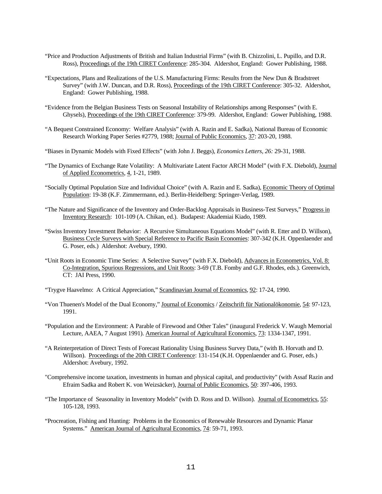- "Price and Production Adjustments of British and Italian Industrial Firms" (with B. Chizzolini, L. Pupillo, and D.R. Ross), Proceedings of the 19th CIRET Conference: 285-304. Aldershot, England: Gower Publishing, 1988.
- "Expectations, Plans and Realizations of the U.S. Manufacturing Firms: Results from the New Dun & Bradstreet Survey" (with J.W. Duncan, and D.R. Ross), Proceedings of the 19th CIRET Conference: 305-32. Aldershot, England: Gower Publishing, 1988.
- "Evidence from the Belgian Business Tests on Seasonal Instability of Relationships among Responses" (with E. Ghysels), Proceedings of the 19th CIRET Conference: 379-99. Aldershot, England: Gower Publishing, 1988.
- "A Bequest Constrained Economy: Welfare Analysis" (with A. Razin and E. Sadka), National Bureau of Economic Research Working Paper Series #2779, 1988; Journal of Public Economics, 37: 203-20, 1988.
- "Biases in Dynamic Models with Fixed Effects" (with John J. Beggs), *Economics Letters, 26:* 29-31, 1988.
- "The Dynamics of Exchange Rate Volatility: A Multivariate Latent Factor ARCH Model" (with F.X. Diebold), Journal of Applied Econometrics, 4, 1-21, 1989.
- "Socially Optimal Population Size and Individual Choice" (with A. Razin and E. Sadka), Economic Theory of Optimal Population: 19-38 (K.F. Zimmermann, ed.). Berlin-Heidelberg: Springer-Verlag, 1989.
- "The Nature and Significance of the Inventory and Order-Backlog Appraisals in Business-Test Surveys," Progress in Inventory Research: 101-109 (A. Chikan, ed.). Budapest: Akademiai Kiado, 1989.
- "Swiss Inventory Investment Behavior: A Recursive Simultaneous Equations Model" (with R. Etter and D. Willson), Business Cycle Surveys with Special Reference to Pacific Basin Economies: 307-342 (K.H. Oppenlaender and G. Poser, eds.) Aldershot: Avebury, 1990.
- "Unit Roots in Economic Time Series: A Selective Survey" (with F.X. Diebold), Advances in Econometrics, Vol. 8: Co-Integration, Spurious Regressions, and Unit Roots: 3-69 (T.B. Fomby and G.F. Rhodes, eds.). Greenwich, CT: JAI Press, 1990.
- "Trygve Haavelmo: A Critical Appreciation," Scandinavian Journal of Economics, 92: 17-24, 1990.
- "Von Thuenen's Model of the Dual Economy," Journal of Economics / Zeitschrift für Nationalökonomie, 54: 97-123, 1991.
- "Population and the Environment: A Parable of Firewood and Other Tales" (inaugural Frederick V. Waugh Memorial Lecture, AAEA, 7 August 1991). American Journal of Agricultural Economics, 73: 1334-1347, 1991.
- "A Reinterpretation of Direct Tests of Forecast Rationality Using Business Survey Data," (with B. Horvath and D. Willson). Proceedings of the 20th CIRET Conference: 131-154 (K.H. Oppenlaender and G. Poser, eds.) Aldershot: Avebury, 1992.
- "Comprehensive income taxation, investments in human and physical capital, and productivity" (with Assaf Razin and Efraim Sadka and Robert K. von Weizsäcker), Journal of Public Economics, 50: 397-406, 1993.
- "The Importance of Seasonality in Inventory Models" (with D. Ross and D. Willson). Journal of Econometrics, 55: 105-128, 1993.
- "Procreation, Fishing and Hunting: Problems in the Economics of Renewable Resources and Dynamic Planar Systems." American Journal of Agricultural Economics, 74: 59-71, 1993.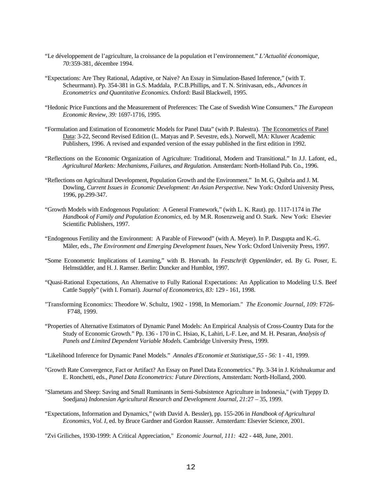- "Le développement de l'agriculture, la croissance de la population et l'environnement." *L'Actualité économique, 70:*359-381*,* décembre 1994.
- "Expectations: Are They Rational, Adaptive, or Naive? An Essay in Simulation-Based Inference," (with T. Scheurmann). Pp. 354-381 in G.S. Maddala, P.C.B.Phillips, and T. N. Srinivasan, eds., *Advances in Econometrics and Quantitative Economics.* Oxford: Basil Blackwell, 1995.
- "Hedonic Price Functions and the Measurement of Preferences: The Case of Swedish Wine Consumers." *The European Economic Review*, *39:* 1697-1716, 1995.
- "Formulation and Estimation of Econometric Models for Panel Data" (with P. Balestra). The Econometrics of Panel Data: 3-22, Second Revised Edition (L. Matyas and P. Sevestre, eds.). Norwell, MA: Kluwer Academic Publishers, 1996. A revised and expanded version of the essay published in the first edition in 1992.
- "Reflections on the Economic Organization of Agriculture: Traditional, Modern and Transitional." In J.J. Lafont, ed., *Agricultural Markets: Mechanisms, Failures, and Regulation.* Amsterdam: North-Holland Pub. Co., 1996.
- "Reflections on Agricultural Development, Population Growth and the Environment." In M. G, Quibria and J. M. Dowling, *Current Issues in Economic Development: An Asian Perspective.* New York: Oxford University Press, 1996, pp.299-347.
- "Growth Models with Endogenous Population: A General Framework," (with L. K. Raut). pp. 1117-1174 in *The Handbook of Family and Population Economics*, ed. by M.R. Rosenzweig and O. Stark. New York: Elsevier Scientific Publishers, 1997.
- "Endogenous Fertility and the Environment: A Parable of Firewood" (with A. Meyer). In P. Dasgupta and K.-G. Mäler, eds., *The Environment and Emerging Development Issues,* New York: Oxford University Press, 1997.
- "Some Econometric Implications of Learning," with B. Horvath. In *Festschrift Oppenländer,* ed. By G. Poser, E. Helmstädtler, and H. J. Ramser. Berlin: Duncker and Humblot, 1997.
- "Quasi-Rational Expectations, An Alternative to Fully Rational Expectations: An Application to Modeling U.S. Beef Cattle Supply" (with I. Fornari). *Journal of Econometrics, 83:* 129 - 161, 1998.
- "Transforming Economics: Theodore W. Schultz, 1902 1998, In Memoriam." *The Economic Journal*, *109:* F726- F748, 1999.
- "Properties of Alternative Estimators of Dynamic Panel Models: An Empirical Analysis of Cross-Country Data for the Study of Economic Growth." Pp. 136 - 170 in C. Hsiao, K, Lahiri, L-F. Lee, and M. H. Pesaran, *Analysis of Panels and Limited Dependent Variable Models.* Cambridge University Press, 1999.
- "Likelihood Inference for Dynamic Panel Models." *Annales d'Economie et Statistique,55 56:* 1 41, 1999.
- "Growth Rate Convergence, Fact or Artifact? An Essay on Panel Data Econometrics." Pp. 3-34 in J. Krishnakumar and E. Ronchetti, eds., *Panel Data Econometrics: Future Directions,* Amsterdam: North-Holland, 2000.
- "Slametans and Sheep: Saving and Small Ruminants in Semi-Subsistence Agriculture in Indonesia," (with Tjeppy D. Soedjana) *Indonesian Agricultural Research and Development Journal, 21:*27 – 35, 1999.
- "Expectations, Information and Dynamics," (with David A. Bessler), pp. 155-206 in *Handbook of Agricultural Economics, Vol. I,* ed. by Bruce Gardner and Gordon Rausser. Amsterdam: Elsevier Science, 2001.

"Zvi Griliches, 1930-1999: A Critical Appreciation," *Economic Journal, 111:* 422 - 448, June, 2001.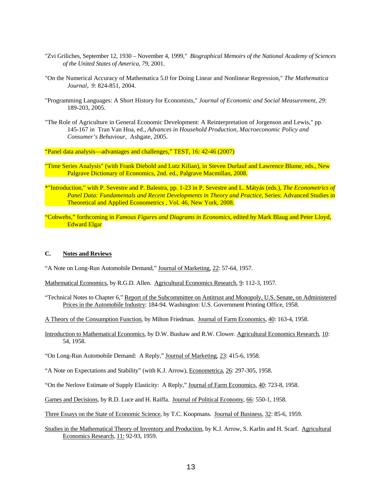- "Zvi Griliches, September 12, 1930 November 4, 1999," *Biographical Memoirs of the National Academy of Sciences of the United States of America, 79*, 2001.
- "On the Numerical Accuracy of Mathematica 5.0 for Doing Linear and Nonlinear Regression," *The Mathematica Journal*, *9*: 824-851, 2004.
- "Programming Languages: A Short History for Economists," *Journal of Economic and Social Measurement, 29:* 189-203, 2005.
- "The Role of Agriculture in General Economic Development: A Reinterpretation of Jorgenson and Lewis," pp. 145-167 in Tran Van Hoa, ed., *Advances in Household Production, Macroeconomic Policy and Consumer's Behaviour,* Ashgate, 2005.

"Panel data analysis—advantages and challenges," TEST, 16: 42-46 (2007)

- "Time Series Analysis" (with Frank Diebold and Lutz Kilian), in Steven Durlauf and Lawrence Blume, eds., New Palgrave Dictionary of Economics, 2nd. ed., Palgrave Macmillan, 2008.
- \*"Introduction," with P. Sevestre and P. Balestra, pp. 1-23 in P. Sevestre and L. Mátyás (eds.), *The Econometrics of Panel Data: Fundamentals and Recent Developments in Theory and Practice*, Series: Advanced Studies in Theoretical and Applied Econometrics , Vol. 46, New York, 2008.
- "Cobwebs," forthcoming in *Famous Figures and Diagrams in Economics*, edited by Mark Blaug and Peter Lloyd, Edward Elgar

# **C. Notes and Reviews**

"A Note on Long-Run Automobile Demand," Journal of Marketing, 22: 57-64, 1957.

Mathematical Economics, by R.G.D. Allen. Agricultural Economics Research, 9: 112-3, 1957.

"Technical Notes to Chapter 6," Report of the Subcommittee on Antitrust and Monopoly, U.S. Senate, on Administered Prices in the Automobile Industry: 184-94. Washington: U.S. Government Printing Office, 1958.

A Theory of the Consumption Function, by Milton Friedman. Journal of Farm Economics, 40: 163-4, 1958.

- Introduction to Mathematical Economics, by D.W. Bushaw and R.W. Clower. Agricultural Economics Research, 10: 54, 1958.
- "On Long-Run Automobile Demand: A Reply," Journal of Marketing, 23: 415-6, 1958.
- "A Note on Expectations and Stability" (with K.J. Arrow), Econometrica, 26: 297-305, 1958.

"On the Nerlove Estimate of Supply Elasticity: A Reply," Journal of Farm Economics, 40: 723-8, 1958.

- Games and Decisions, by R.D. Luce and H. Raiffa. Journal of Political Economy, 66: 550-1, 1958.
- Three Essays on the State of Economic Science, by T.C. Koopmans. Journal of Business, 32: 85-6, 1959.
- Studies in the Mathematical Theory of Inventory and Production, by K.J. Arrow, S. Karlin and H. Scarf. Agricultural Economics Research, 11: 92-93, 1959.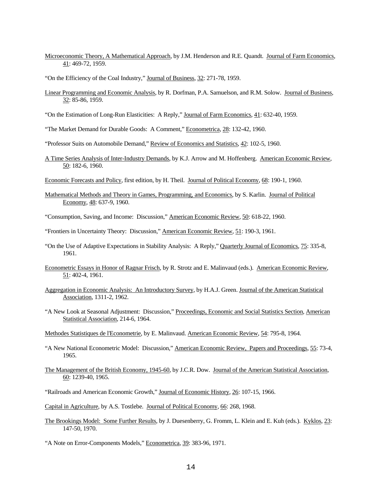- Microeconomic Theory, A Mathematical Approach, by J.M. Henderson and R.E. Quandt. Journal of Farm Economics, 41: 469-72, 1959.
- "On the Efficiency of the Coal Industry," Journal of Business, 32: 271-78, 1959.
- Linear Programming and Economic Analysis, by R. Dorfman, P.A. Samuelson, and R.M. Solow. Journal of Business, 32: 85-86, 1959.
- "On the Estimation of Long-Run Elasticities: A Reply," Journal of Farm Economics, 41: 632-40, 1959.
- "The Market Demand for Durable Goods: A Comment," Econometrica, 28: 132-42, 1960.
- "Professor Suits on Automobile Demand," Review of Economics and Statistics, 42: 102-5, 1960.
- A Time Series Analysis of Inter-Industry Demands, by K.J. Arrow and M. Hoffenberg. American Economic Review, 50: 182-6, 1960.
- Economic Forecasts and Policy, first edition, by H. Theil. Journal of Political Economy, 68: 190-1, 1960.
- Mathematical Methods and Theory in Games, Programming, and Economics, by S. Karlin. Journal of Political Economy, 48: 637-9, 1960.
- "Consumption, Saving, and Income: Discussion," American Economic Review, 50: 618-22, 1960.
- "Frontiers in Uncertainty Theory: Discussion," American Economic Review, 51: 190-3, 1961.
- "On the Use of Adaptive Expectations in Stability Analysis: A Reply," Quarterly Journal of Economics, 75: 335-8, 1961.
- Econometric Essays in Honor of Ragnar Frisch, by R. Strotz and E. Malinvaud (eds.). American Economic Review, 51: 402-4, 1961.
- Aggregation in Economic Analysis: An Introductory Survey, by H.A.J. Green. Journal of the American Statistical Association, 1311-2, 1962.
- "A New Look at Seasonal Adjustment: Discussion," Proceedings, Economic and Social Statistics Section, American Statistical Association, 214-6, 1964.
- Methodes Statistiques de l'Econometrie, by E. Malinvaud. American Economic Review, 54: 795-8, 1964.
- "A New National Econometric Model: Discussion," American Economic Review, Papers and Proceedings, 55: 73-4, 1965.
- The Management of the British Economy, 1945-60, by J.C.R. Dow. Journal of the American Statistical Association, 60: 1239-40, 1965.
- "Railroads and American Economic Growth," Journal of Economic History, 26: 107-15, 1966.

Capital in Agriculture, by A.S. Tostlebe. Journal of Political Economy, 66: 268, 1968.

- The Brookings Model: Some Further Results, by J. Duesenberry, G. Fromm, L. Klein and E. Kuh (eds.). Kyklos, 23: 147-50, 1970.
- "A Note on Error-Components Models," Econometrica, 39: 383-96, 1971.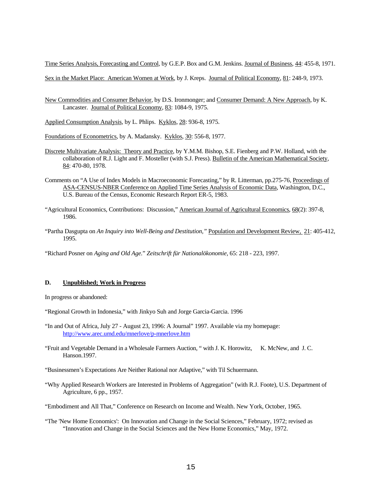Time Series Analysis, Forecasting and Control, by G.E.P. Box and G.M. Jenkins. Journal of Business, 44: 455-8, 1971.

Sex in the Market Place: American Women at Work, by J. Kreps. Journal of Political Economy, 81: 248-9, 1973.

- New Commodities and Consumer Behavior, by D.S. Ironmonger; and Consumer Demand: A New Approach, by K. Lancaster. Journal of Political Economy, 83: 1084-9, 1975.
- Applied Consumption Analysis, by L. Phlips. Kyklos, 28: 936-8, 1975.
- Foundations of Econometrics, by A. Madansky. Kyklos, 30: 556-8, 1977.
- Discrete Multivariate Analysis: Theory and Practice, by Y.M.M. Bishop, S.E. Fienberg and P.W. Holland, with the collaboration of R.J. Light and F. Mosteller (with S.J. Press). Bulletin of the American Mathematical Society, 84: 470-80, 1978.
- Comments on "A Use of Index Models in Macroeconomic Forecasting," by R. Litterman, pp.275-76, Proceedings of ASA-CENSUS-NBER Conference on Applied Time Series Analysis of Economic Data, Washington, D.C., U.S. Bureau of the Census, Economic Research Report ER-5, 1983.
- "Agricultural Economics, Contributions: Discussion," American Journal of Agricultural Economics, 68(2): 397-8, 1986.
- "Partha Dasgupta on *An Inquiry into Well-Being and Destitution,"* Population and Development Review, 21: 405-412, 1995.
- "Richard Posner on *Aging and Old Age.*" *Zeitschrift für Nationalökonomie,* 65: 218 223, 1997.

### **D. Unpublished; Work in Progress**

In progress or abandoned:

- "Regional Growth in Indonesia," with Jinkyo Suh and Jorge Garcia-Garcia. 1996
- "In and Out of Africa, July 27 August 23, 1996: A Journal" 1997. Available via my homepage: <http://www.arec.umd.edu/mnerlove/p-mnerlove.htm>
- "Fruit and Vegetable Demand in a Wholesale Farmers Auction, " with J. K. Horowitz, K. McNew, and J. C. Hanson.1997.
- "Businessmen's Expectations Are Neither Rational nor Adaptive," with Til Schuermann.
- "Why Applied Research Workers are Interested in Problems of Aggregation" (with R.J. Foote), U.S. Department of Agriculture, 6 pp., 1957.
- "Embodiment and All That," Conference on Research on Income and Wealth. New York, October, 1965.
- "The 'New Home Economics': On Innovation and Change in the Social Sciences," February, 1972; revised as "Innovation and Change in the Social Sciences and the New Home Economics," May, 1972.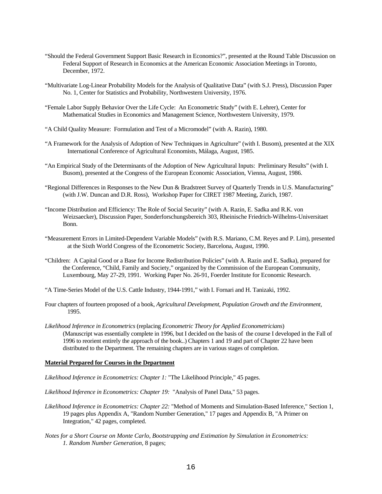- "Should the Federal Government Support Basic Research in Economics?", presented at the Round Table Discussion on Federal Support of Research in Economics at the American Economic Association Meetings in Toronto, December, 1972.
- "Multivariate Log-Linear Probability Models for the Analysis of Qualitative Data" (with S.J. Press), Discussion Paper No. 1, Center for Statistics and Probability, Northwestern University, 1976.
- "Female Labor Supply Behavior Over the Life Cycle: An Econometric Study" (with E. Lehrer), Center for Mathematical Studies in Economics and Management Science, Northwestern University, 1979.
- "A Child Quality Measure: Formulation and Test of a Micromodel" (with A. Razin), 1980.
- "A Framework for the Analysis of Adoption of New Techniques in Agriculture" (with I. Busom), presented at the XIX International Conference of Agricultural Economists, Málaga, August, 1985.
- "An Empirical Study of the Determinants of the Adoption of New Agricultural Inputs: Preliminary Results" (with I. Busom), presented at the Congress of the European Economic Association, Vienna, August, 1986.
- "Regional Differences in Responses to the New Dun & Bradstreet Survey of Quarterly Trends in U.S. Manufacturing" (with J.W. Duncan and D.R. Ross), Workshop Paper for CIRET 1987 Meeting, Zurich, 1987.
- "Income Distribution and Efficiency: The Role of Social Security" (with A. Razin, E. Sadka and R.K. von Weizsaecker), Discussion Paper, Sonderforschungsbereich 303, Rheinische Friedrich-Wilhelms-Universitaet Bonn.
- "Measurement Errors in Limited-Dependent Variable Models" (with R.S. Mariano, C.M. Reyes and P. Lim), presented at the Sixth World Congress of the Econometric Society, Barcelona, August, 1990.
- "Children: A Capital Good or a Base for Income Redistribution Policies" (with A. Razin and E. Sadka), prepared for the Conference, "Child, Family and Society," organized by the Commission of the European Community, Luxembourg, May 27-29, 1991. Working Paper No. 26-91, Foerder Institute for Economic Research.

"A Time-Series Model of the U.S. Cattle Industry, 1944-1991," with I. Fornari and H. Tanizaki, 1992.

- Four chapters of fourteen proposed of a book, *Agricultural Development, Population Growth and the Environment,* 1995.
- *Likelihood Inference in Econometrics* (replacing *Econometric Theory for Applied Econometricians*) (Manuscript was essentially complete in 1996, but I decided on the basis of the course I developed in the Fall of 1996 to reorient entirely the approach of the book..) Chapters 1 and 19 and part of Chapter 22 have been distributed to the Department. The remaining chapters are in various stages of completion.

#### **Material Prepared for Courses in the Department**

- *Likelihood Inference in Econometrics: Chapter 1:* "The Likelihood Principle," 45 pages.
- *Likelihood Inference in Econometrics: Chapter 19:* "Analysis of Panel Data," 53 pages.
- *Likelihood Inference in Econometrics: Chapter 22:* "Method of Moments and Simulation-Based Inference," Section 1, 19 pages plus Appendix A, "Random Number Generation," 17 pages and Appendix B, "A Primer on Integration," 42 pages, completed.
- *Notes for a Short Course on Monte Carlo, Bootstrapping and Estimation by Simulation in Econometrics: 1. Random Number Generation,* 8 pages;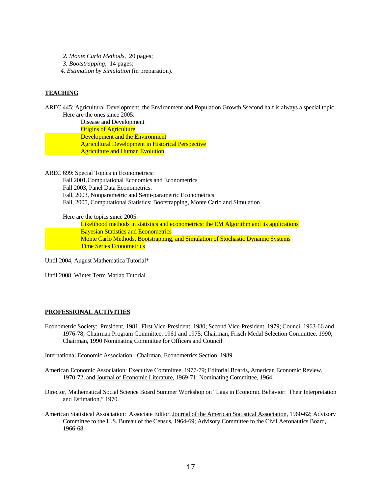- *2. Monte Carlo Methods,* 20 pages;
- *3. Bootstrapping,* 14 pages;
- *4. Estimation by Simulation* (in preparation).

# **TEACHING**

AREC 445: Agricultural Development, the Environment and Population Growth.Ssecond half is always a special topic. Here are the ones since 2005:

 Disease and Development Origins of Agriculture Development and the Environment Agricultural Development in Historical Perspective Agriculture and Human Evolution

AREC 699: Special Topics in Econometrics:

 Fall 2001,Computational Economics and Econometrics Fall 2003, Panel Data Econometrics. Fall, 2003, Nonparametric and Semi-parametric Econometrics Fall, 2005, Computational Statistics: Bootstrapping, Monte Carlo and Simulation

Here are the topics since 2005:

 Likelihood methods in statistics and econometrics; the EM Algorithm and its applications Bayesian Statistics and Econometrics Monte Carlo Methods, Bootstrapping, and Simulation of Stochastic Dynamic Systems Time Series Econometrics

Until 2004, August Mathematica Tutorial\*

Until 2008, Winter Term Matlab Tutorial

## **PROFESSIONAL ACTIVITIES**

Econometric Society: President, 1981; First Vice-President, 1980; Second Vice-President, 1979; Council 1963-66 and 1976-78; Chairman Program Committee, 1961 and 1975; Chairman, Frisch Medal Selection Committee, 1990; Chairman, 1990 Nominating Committee for Officers and Council.

International Economic Association: Chairman, Econometrics Section, 1989.

- American Economic Association: Executive Committee, 1977-79; Editorial Boards, American Economic Review, 1970-72, and Journal of Economic Literature, 1969-71; Nominating Committee, 1964.
- Director, Mathematical Social Science Board Summer Workshop on "Lags in Economic Behavior: Their Interpretation and Estimation," 1970.
- American Statistical Association: Associate Editor, Journal of the American Statistical Association, 1960-62; Advisory Committee to the U.S. Bureau of the Census, 1964-69; Advisory Committee to the Civil Aeronautics Board, 1966-68.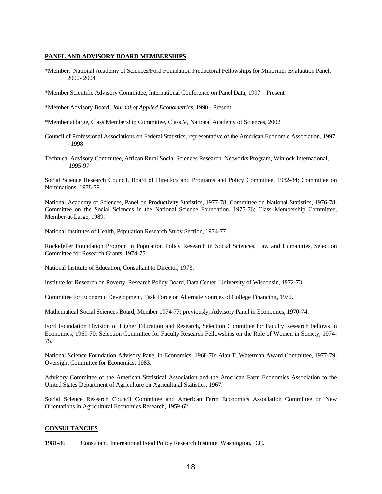#### **PANEL AND ADVISORY BOARD MEMBERSHIPS**

- \*Member, National Academy of Sciences/Ford Foundation Predoctoral Fellowships for Minorities Evaluation Panel, 2000- 2004
- \*Member Scientific Advisory Committee, International Conference on Panel Data, 1997 Present

\*Member Advisory Board, *Journal of Applied Econometrics,* 1990 - Present

\*Member at large, Class Membership Committee, Class V, National Academy of Sciences, 2002

- Council of Professional Associations on Federal Statistics, representative of the American Economic Association, 1997 - 1998
- Technical Advisory Committee, African Rural Social Sciences Research Networks Program, Winrock International, 1995-97

Social Science Research Council, Board of Directors and Programs and Policy Committee, 1982-84; Committee on Nominations, 1978-79.

National Academy of Sciences, Panel on Productivity Statistics, 1977-78; Committee on National Statistics, 1976-78; Committee on the Social Sciences in the National Science Foundation, 1975-76; Class Membership Committee, Member-at-Large, 1989.

National Institutes of Health, Population Research Study Section, 1974-77.

Rockefeller Foundation Program in Population Policy Research in Social Sciences, Law and Humanities, Selection Committee for Research Grants, 1974-75.

National Institute of Education, Consultant to Director, 1973.

Institute for Research on Poverty, Research Policy Board, Data Center, University of Wisconsin, 1972-73.

Committee for Economic Development, Task Force on Alternate Sources of College Financing, 1972.

Mathematical Social Sciences Board, Member 1974-77; previously, Advisory Panel in Economics, 1970-74.

Ford Foundation Division of Higher Education and Research, Selection Committee for Faculty Research Fellows in Economics, 1969-70; Selection Committee for Faculty Research Fellowships on the Role of Women in Society, 1974- 75.

National Science Foundation Advisory Panel in Economics, 1968-70; Alan T. Waterman Award Committee, 1977-79; Oversight Committee for Economics, 1983.

Advisory Committee of the American Statistical Association and the American Farm Economics Association to the United States Department of Agriculture on Agricultural Statistics, 1967.

Social Science Research Council Committee and American Farm Economics Association Committee on New Orientations in Agricultural Economics Research, 1959-62.

#### **CONSULTANCIES**

1981-86 Consultant, International Food Policy Research Institute, Washington, D.C.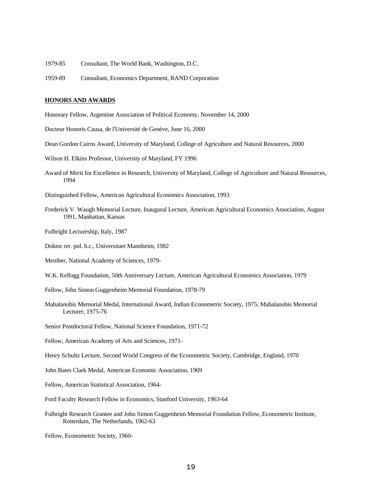- 1979-85 Consultant, The World Bank, Washington, D.C.
- 1959-89 Consultant, Economics Department, RAND Corporation

#### **HONORS AND AWARDS**

Honorary Fellow, Argentine Association of Political Economy, November 14, 2000

- Docteur Honoris Causa, de l'Université de Genève, June 16, 2000
- Dean Gordon Cairns Award, University of Maryland, College of Agriculture and Natural Resources, 2000
- Wilson H. Elkins Professor, University of Maryland, FY 1996
- Award of Merit for Excellence in Research, University of Maryland, College of Agriculture and Natural Resources, 1994
- Distinguished Fellow, American Agricultural Economics Association, 1993
- Frederick V. Waugh Memorial Lecture, Inaugural Lecture, American Agricultural Economics Association, August 1991, Manhattan, Kansas
- Fulbright Lectureship, Italy, 1987
- Doktor rer. pol. h.c., Universitaet Mannheim, 1982
- Member, National Academy of Sciences, 1979-
- W.K. Kellogg Foundation, 50th Anniversary Lecture, American Agricultural Economics Association, 1979
- Fellow, John Simon Guggenheim Memorial Foundation, 1978-79
- Mahalanobis Memorial Medal, International Award, Indian Econometric Society, 1975; Mahalanobis Memorial Lecturer, 1975-76
- Senior Postdoctoral Fellow, National Science Foundation, 1971-72
- Fellow, American Academy of Arts and Sciences, 1971-
- Henry Schultz Lecture, Second World Congress of the Econometric Society, Cambridge, England, 1970
- John Bates Clark Medal, American Economic Association, 1969
- Fellow, American Statistical Association, 1964-
- Ford Faculty Research Fellow in Economics, Stanford University, 1963-64
- Fulbright Research Grantee and John Simon Guggenheim Memorial Foundation Fellow, Econometric Institute, Rotterdam, The Netherlands, 1962-63

Fellow, Econometric Society, 1960-